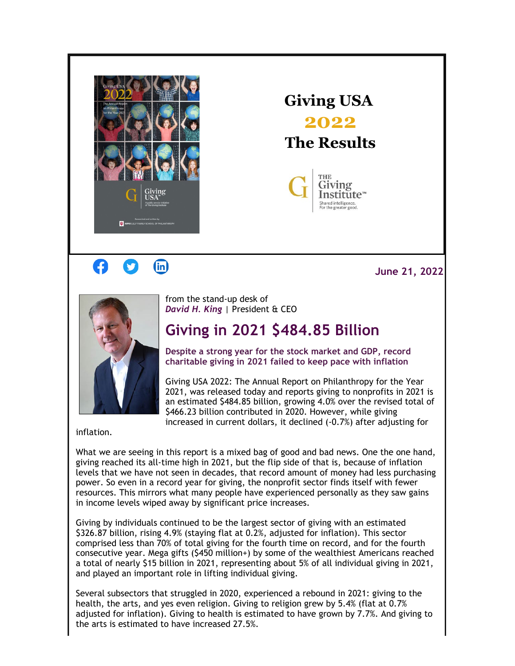

**Giving USA 2022 The Results**



## G  $(in)$

**June 21, 2022**



from the stand-up desk of *David H. King* | President & CEO

## **Giving in 2021 \$484.85 Billion**

**Despite a strong year for the stock market and GDP, record charitable giving in 2021 failed to keep pace with inflation**

Giving USA 2022: The Annual Report on Philanthropy for the Year 2021, was released today and reports giving to nonprofits in 2021 is an estimated \$484.85 billion, growing 4.0% over the revised total of \$466.23 billion contributed in 2020. However, while giving increased in current dollars, it declined (-0.7%) after adjusting for

inflation.

What we are seeing in this report is a mixed bag of good and bad news. One the one hand, giving reached its all-time high in 2021, but the flip side of that is, because of inflation levels that we have not seen in decades, that record amount of money had less purchasing power. So even in a record year for giving, the nonprofit sector finds itself with fewer resources. This mirrors what many people have experienced personally as they saw gains in income levels wiped away by significant price increases.

Giving by individuals continued to be the largest sector of giving with an estimated \$326.87 billion, rising 4.9% (staying flat at 0.2%, adjusted for inflation). This sector comprised less than 70% of total giving for the fourth time on record, and for the fourth consecutive year. Mega gifts (\$450 million+) by some of the wealthiest Americans reached a total of nearly \$15 billion in 2021, representing about 5% of all individual giving in 2021, and played an important role in lifting individual giving.

Several subsectors that struggled in 2020, experienced a rebound in 2021: giving to the health, the arts, and yes even religion. Giving to religion grew by 5.4% (flat at 0.7% adjusted for inflation). Giving to health is estimated to have grown by 7.7%. And giving to the arts is estimated to have increased 27.5%.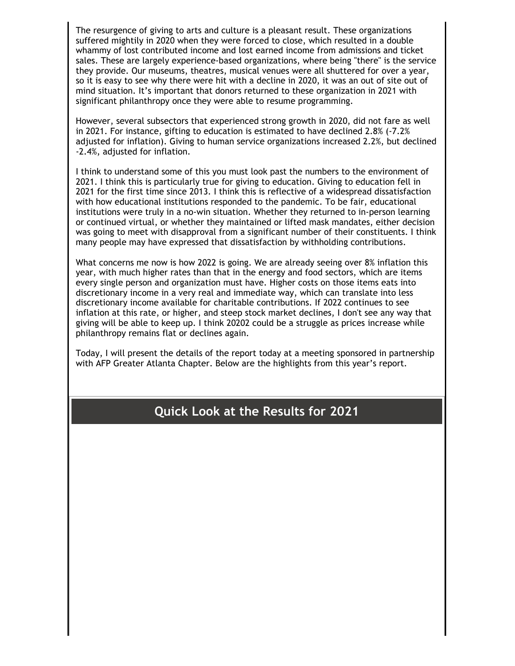The resurgence of giving to arts and culture is a pleasant result. These organizations suffered mightily in 2020 when they were forced to close, which resulted in a double whammy of lost contributed income and lost earned income from admissions and ticket sales. These are largely experience-based organizations, where being "there" is the service they provide. Our museums, theatres, musical venues were all shuttered for over a year, so it is easy to see why there were hit with a decline in 2020, it was an out of site out of mind situation. It's important that donors returned to these organization in 2021 with significant philanthropy once they were able to resume programming.

However, several subsectors that experienced strong growth in 2020, did not fare as well in 2021. For instance, gifting to education is estimated to have declined 2.8% (-7.2% adjusted for inflation). Giving to human service organizations increased 2.2%, but declined -2.4%, adjusted for inflation.

I think to understand some of this you must look past the numbers to the environment of 2021. I think this is particularly true for giving to education. Giving to education fell in 2021 for the first time since 2013. I think this is reflective of a widespread dissatisfaction with how educational institutions responded to the pandemic. To be fair, educational institutions were truly in a no-win situation. Whether they returned to in-person learning or continued virtual, or whether they maintained or lifted mask mandates, either decision was going to meet with disapproval from a significant number of their constituents. I think many people may have expressed that dissatisfaction by withholding contributions.

What concerns me now is how 2022 is going. We are already seeing over 8% inflation this year, with much higher rates than that in the energy and food sectors, which are items every single person and organization must have. Higher costs on those items eats into discretionary income in a very real and immediate way, which can translate into less discretionary income available for charitable contributions. If 2022 continues to see inflation at this rate, or higher, and steep stock market declines, I don't see any way that giving will be able to keep up. I think 20202 could be a struggle as prices increase while philanthropy remains flat or declines again.

Today, I will present the details of the report today at a meeting sponsored in partnership with AFP Greater Atlanta Chapter. Below are the highlights from this year's report.

## **Quick Look at the Results for 2021**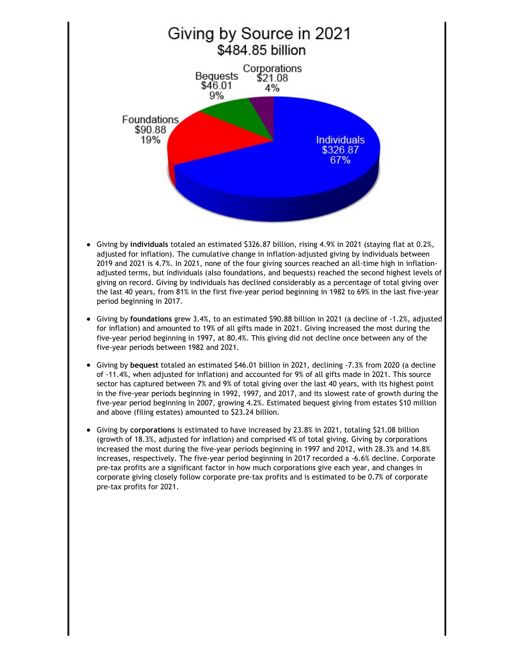

- $\bullet$ Giving by **individuals** totaled an estimated \$326.87 billion, rising 4.9% in 2021 (staying flat at 0.2%, adjusted for inflation). The cumulative change in inflation-adjusted giving by individuals between 2019 and 2021 is 4.7%. In 2021, none of the four giving sources reached an all-time high in inflationadjusted terms, but individuals (also foundations, and bequests) reached the second highest levels of giving on record. Giving by individuals has declined considerably as a percentage of total giving over the last 40 years, from 81% in the first five-year period beginning in 1982 to 69% in the last five-year period beginning in 2017.
- Giving by **foundations** grew 3.4%, to an estimated \$90.88 billion in 2021 (a decline of -1.2%, adjusted for inflation) and amounted to 19% of all gifts made in 2021. Giving increased the most during the five-year period beginning in 1997, at 80.4%. This giving did not decline once between any of the five-year periods between 1982 and 2021.
- Giving by **bequest** totaled an estimated \$46.01 billion in 2021, declining -7.3% from 2020 (a decline of -11.4%, when adjusted for inflation) and accounted for 9% of all gifts made in 2021. This source sector has captured between 7% and 9% of total giving over the last 40 years, with its highest point in the five-year periods beginning in 1992, 1997, and 2017, and its slowest rate of growth during the five-year period beginning in 2007, growing 4.2%. Estimated bequest giving from estates \$10 million and above (filing estates) amounted to \$23.24 billion.
- Giving by **corporations** is estimated to have increased by 23.8% in 2021, totaling \$21.08 billion (growth of 18.3%, adjusted for inflation) and comprised 4% of total giving. Giving by corporations increased the most during the five-year periods beginning in 1997 and 2012, with 28.3% and 14.8% increases, respectively. The five-year period beginning in 2017 recorded a -6.6% decline. Corporate pre-tax profits are a significant factor in how much corporations give each year, and changes in corporate giving closely follow corporate pre-tax profits and is estimated to be 0.7% of corporate pre-tax profits for 2021.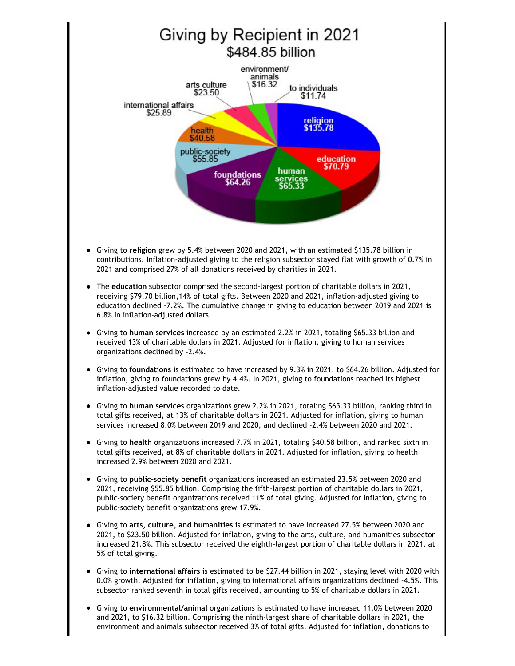

- Giving to **religion** grew by 5.4% between 2020 and 2021, with an estimated \$135.78 billion in contributions. Inflation-adjusted giving to the religion subsector stayed flat with growth of 0.7% in 2021 and comprised 27% of all donations received by charities in 2021.
- The **education** subsector comprised the second-largest portion of charitable dollars in 2021, receiving \$79.70 billion,14% of total gifts. Between 2020 and 2021, inflation-adjusted giving to education declined -7.2%. The cumulative change in giving to education between 2019 and 2021 is 6.8% in inflation-adjusted dollars.
- Giving to **human services** increased by an estimated 2.2% in 2021, totaling \$65.33 billion and received 13% of charitable dollars in 2021. Adjusted for inflation, giving to human services organizations declined by -2.4%.
- Giving to **foundations** is estimated to have increased by 9.3% in 2021, to \$64.26 billion. Adjusted for  $\bullet$ inflation, giving to foundations grew by 4.4%. In 2021, giving to foundations reached its highest inflation-adjusted value recorded to date.
- Giving to **human services** organizations grew 2.2% in 2021, totaling \$65.33 billion, ranking third in total gifts received, at 13% of charitable dollars in 2021. Adjusted for inflation, giving to human services increased 8.0% between 2019 and 2020, and declined -2.4% between 2020 and 2021.
- Giving to **health** organizations increased 7.7% in 2021, totaling \$40.58 billion, and ranked sixth in total gifts received, at 8% of charitable dollars in 2021. Adjusted for inflation, giving to health increased 2.9% between 2020 and 2021.
- Giving to **public-society benefit** organizations increased an estimated 23.5% between 2020 and 2021, receiving \$55.85 billion. Comprising the fifth-largest portion of charitable dollars in 2021, public-society benefit organizations received 11% of total giving. Adjusted for inflation, giving to public-society benefit organizations grew 17.9%.
- Giving to **arts, culture, and humanities** is estimated to have increased 27.5% between 2020 and 2021, to \$23.50 billion. Adjusted for inflation, giving to the arts, culture, and humanities subsector increased 21.8%. This subsector received the eighth-largest portion of charitable dollars in 2021, at 5% of total giving.
- Giving to **international affairs** is estimated to be \$27.44 billion in 2021, staying level with 2020 with 0.0% growth. Adjusted for inflation, giving to international affairs organizations declined -4.5%. This subsector ranked seventh in total gifts received, amounting to 5% of charitable dollars in 2021.
- Giving to **environmental/animal** organizations is estimated to have increased 11.0% between 2020 and 2021, to \$16.32 billion. Comprising the ninth-largest share of charitable dollars in 2021, the environment and animals subsector received 3% of total gifts. Adjusted for inflation, donations to